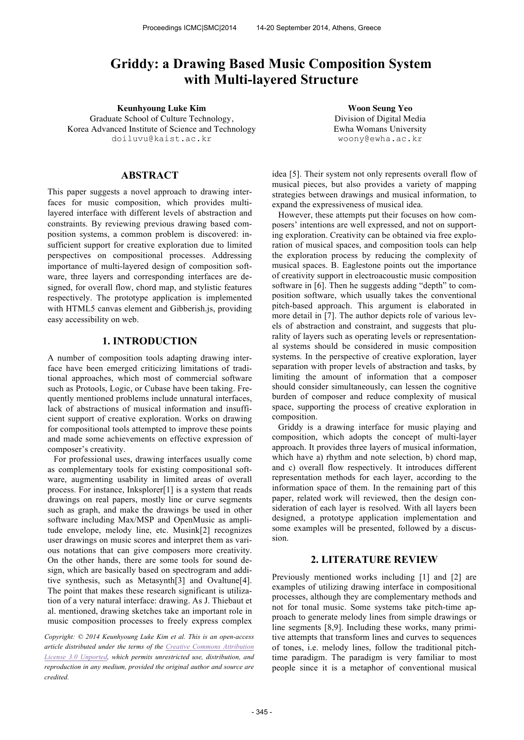# **Griddy: a Drawing Based Music Composition System with Multi-layered Structure**

**Keunhyoung Luke Kim Woon Seung Yeo** Graduate School of Culture Technology, Korea Advanced Institute of Science and Technology doiluvu@kaist.ac.kr

Division of Digital Media Ewha Womans University woony@ewha.ac.kr

## **ABSTRACT**

This paper suggests a novel approach to drawing interfaces for music composition, which provides multilayered interface with different levels of abstraction and constraints. By reviewing previous drawing based composition systems, a common problem is discovered: insufficient support for creative exploration due to limited perspectives on compositional processes. Addressing importance of multi-layered design of composition software, three layers and corresponding interfaces are designed, for overall flow, chord map, and stylistic features respectively. The prototype application is implemented with HTML5 canvas element and Gibberish.js, providing easy accessibility on web.

## **1. INTRODUCTION**

A number of composition tools adapting drawing interface have been emerged criticizing limitations of traditional approaches, which most of commercial software such as Protools, Logic, or Cubase have been taking. Frequently mentioned problems include unnatural interfaces, lack of abstractions of musical information and insufficient support of creative exploration. Works on drawing for compositional tools attempted to improve these points and made some achievements on effective expression of composer's creativity.

For professional uses, drawing interfaces usually come as complementary tools for existing compositional software, augmenting usability in limited areas of overall process. For instance, Inksplorer[1] is a system that reads drawings on real papers, mostly line or curve segments such as graph, and make the drawings be used in other software including Max/MSP and OpenMusic as amplitude envelope, melody line, etc. Musink[2] recognizes user drawings on music scores and interpret them as various notations that can give composers more creativity. On the other hands, there are some tools for sound design, which are basically based on spectrogram and additive synthesis, such as Metasynth[3] and Ovaltune[4]. The point that makes these research significant is utilization of a very natural interface: drawing. As J. Thiebaut et al. mentioned, drawing sketches take an important role in music composition processes to freely express complex

*Copyright: © 2014 Keunhyoung Luke Kim et al. This is an open-access article distributed under the terms of the Creative Commons Attribution License 3.0 Unported, which permits unrestricted use, distribution, and reproduction in any medium, provided the original author and source are credited.*

idea [5]. Their system not only represents overall flow of musical pieces, but also provides a variety of mapping strategies between drawings and musical information, to expand the expressiveness of musical idea.

However, these attempts put their focuses on how composers' intentions are well expressed, and not on supporting exploration. Creativity can be obtained via free exploration of musical spaces, and composition tools can help the exploration process by reducing the complexity of musical spaces. B. Eaglestone points out the importance of creativity support in electroacoustic music composition software in [6]. Then he suggests adding "depth" to composition software, which usually takes the conventional pitch-based approach. This argument is elaborated in more detail in [7]. The author depicts role of various levels of abstraction and constraint, and suggests that plurality of layers such as operating levels or representational systems should be considered in music composition systems. In the perspective of creative exploration, layer separation with proper levels of abstraction and tasks, by limiting the amount of information that a composer should consider simultaneously, can lessen the cognitive burden of composer and reduce complexity of musical space, supporting the process of creative exploration in composition.

Griddy is a drawing interface for music playing and composition, which adopts the concept of multi-layer approach. It provides three layers of musical information, which have a) rhythm and note selection, b) chord map, and c) overall flow respectively. It introduces different representation methods for each layer, according to the information space of them. In the remaining part of this paper, related work will reviewed, then the design consideration of each layer is resolved. With all layers been designed, a prototype application implementation and some examples will be presented, followed by a discussion.

#### **2. LITERATURE REVIEW**

Previously mentioned works including [1] and [2] are examples of utilizing drawing interface in compositional processes, although they are complementary methods and not for tonal music. Some systems take pitch-time approach to generate melody lines from simple drawings or line segments [8,9]. Including these works, many primitive attempts that transform lines and curves to sequences of tones, i.e. melody lines, follow the traditional pitchtime paradigm. The paradigm is very familiar to most people since it is a metaphor of conventional musical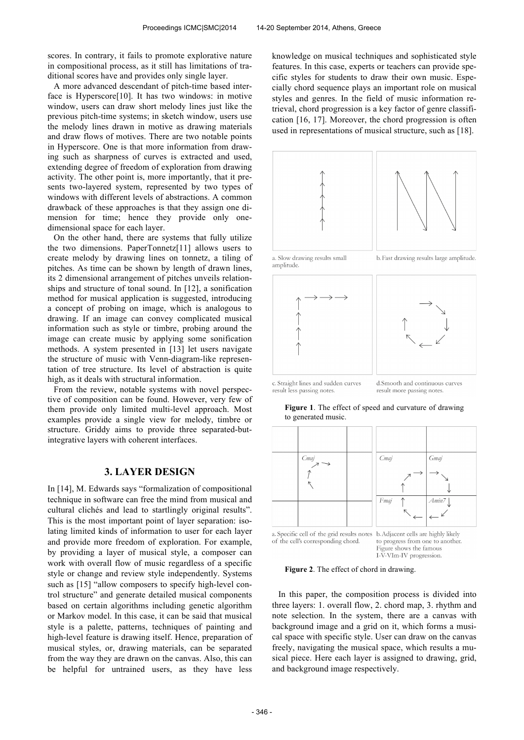scores. In contrary, it fails to promote explorative nature in compositional process, as it still has limitations of traditional scores have and provides only single layer.

A more advanced descendant of pitch-time based interface is Hyperscore[10]. It has two windows: in motive window, users can draw short melody lines just like the previous pitch-time systems; in sketch window, users use the melody lines drawn in motive as drawing materials and draw flows of motives. There are two notable points in Hyperscore. One is that more information from drawing such as sharpness of curves is extracted and used, extending degree of freedom of exploration from drawing activity. The other point is, more importantly, that it presents two-layered system, represented by two types of windows with different levels of abstractions. A common drawback of these approaches is that they assign one dimension for time; hence they provide only onedimensional space for each layer.

On the other hand, there are systems that fully utilize the two dimensions. PaperTonnetz[11] allows users to create melody by drawing lines on tonnetz, a tiling of pitches. As time can be shown by length of drawn lines, its 2 dimensional arrangement of pitches unveils relationships and structure of tonal sound. In [12], a sonification method for musical application is suggested, introducing a concept of probing on image, which is analogous to drawing. If an image can convey complicated musical information such as style or timbre, probing around the image can create music by applying some sonification methods. A system presented in [13] let users navigate the structure of music with Venn-diagram-like representation of tree structure. Its level of abstraction is quite high, as it deals with structural information.

From the review, notable systems with novel perspective of composition can be found. However, very few of them provide only limited multi-level approach. Most examples provide a single view for melody, timbre or structure. Griddy aims to provide three separated-butintegrative layers with coherent interfaces.

#### **3. LAYER DESIGN**

In [14], M. Edwards says "formalization of compositional technique in software can free the mind from musical and cultural clichés and lead to startlingly original results". This is the most important point of layer separation: isolating limited kinds of information to user for each layer and provide more freedom of exploration. For example, by providing a layer of musical style, a composer can work with overall flow of music regardless of a specific style or change and review style independently. Systems such as [15] "allow composers to specify high-level control structure" and generate detailed musical components based on certain algorithms including genetic algorithm or Markov model. In this case, it can be said that musical style is a palette, patterns, techniques of painting and high-level feature is drawing itself. Hence, preparation of musical styles, or, drawing materials, can be separated from the way they are drawn on the canvas. Also, this can be helpful for untrained users, as they have less

knowledge on musical techniques and sophisticated style features. In this case, experts or teachers can provide specific styles for students to draw their own music. Especially chord sequence plays an important role on musical styles and genres. In the field of music information retrieval, chord progression is a key factor of genre classification [16, 17]. Moreover, the chord progression is often used in representations of musical structure, such as [18].



a. Slow drawing results small amplitude









c. Straight lines and sudden curves result less passing notes.

d Smooth and continuous curves result more passing notes.

**Figure 1**. The effect of speed and curvature of drawing to generated music.



I-V-VIm-IV progression.



In this paper, the composition process is divided into three layers: 1. overall flow, 2. chord map, 3. rhythm and note selection. In the system, there are a canvas with background image and a grid on it, which forms a musical space with specific style. User can draw on the canvas freely, navigating the musical space, which results a musical piece. Here each layer is assigned to drawing, grid, and background image respectively.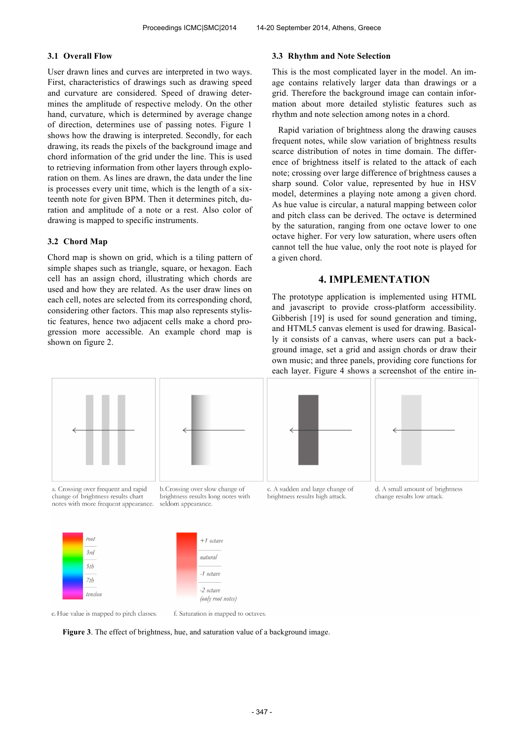## **3.1 Overall Flow**

User drawn lines and curves are interpreted in two ways. First, characteristics of drawings such as drawing speed and curvature are considered. Speed of drawing determines the amplitude of respective melody. On the other hand, curvature, which is determined by average change of direction, determines use of passing notes. Figure 1 shows how the drawing is interpreted. Secondly, for each drawing, its reads the pixels of the background image and chord information of the grid under the line. This is used to retrieving information from other layers through exploration on them. As lines are drawn, the data under the line is processes every unit time, which is the length of a sixteenth note for given BPM. Then it determines pitch, duration and amplitude of a note or a rest. Also color of drawing is mapped to specific instruments.

## **3.2 Chord Map**

Chord map is shown on grid, which is a tiling pattern of simple shapes such as triangle, square, or hexagon. Each cell has an assign chord, illustrating which chords are used and how they are related. As the user draw lines on each cell, notes are selected from its corresponding chord, considering other factors. This map also represents stylistic features, hence two adjacent cells make a chord progression more accessible. An example chord map is shown on figure 2.

#### **3.3 Rhythm and Note Selection**

This is the most complicated layer in the model. An image contains relatively larger data than drawings or a grid. Therefore the background image can contain information about more detailed stylistic features such as rhythm and note selection among notes in a chord.

Rapid variation of brightness along the drawing causes frequent notes, while slow variation of brightness results scarce distribution of notes in time domain. The difference of brightness itself is related to the attack of each note; crossing over large difference of brightness causes a sharp sound. Color value, represented by hue in HSV model, determines a playing note among a given chord. As hue value is circular, a natural mapping between color and pitch class can be derived. The octave is determined by the saturation, ranging from one octave lower to one octave higher. For very low saturation, where users often cannot tell the hue value, only the root note is played for a given chord.

## **4. IMPLEMENTATION**

The prototype application is implemented using HTML and javascript to provide cross-platform accessibility. Gibberish [19] is used for sound generation and timing, and HTML5 canvas element is used for drawing. Basically it consists of a canvas, where users can put a background image, set a grid and assign chords or draw their own music; and three panels, providing core functions for each layer. Figure 4 shows a screenshot of the entire in-





a. Crossing over frequent and rapid change of brightness results chart notes with more frequent appearance. b. Crossing over slow change of brightness results long notes with seldom appearance.







 $+1$  octave natural



 $-1$  octave

e. Hue value is mapped to pitch classes.

f. Saturation is mapped to octaves.

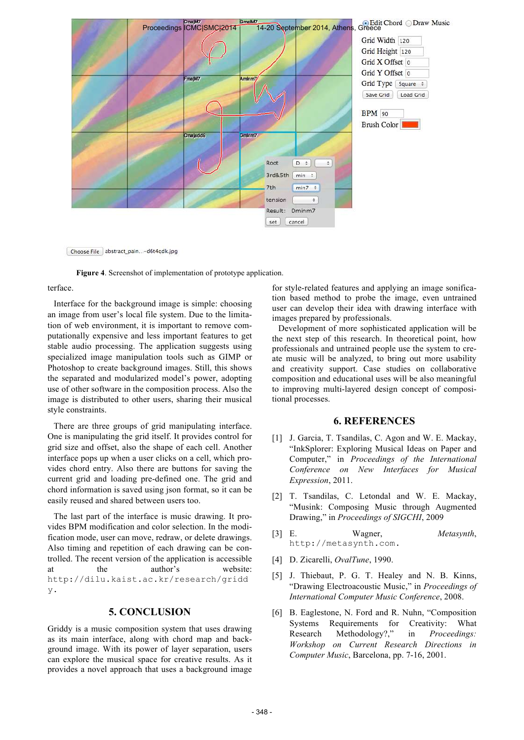

Choose File abstract\_pain...-d6t4qdk.jpg



terface.

Interface for the background image is simple: choosing an image from user's local file system. Due to the limitation of web environment, it is important to remove computationally expensive and less important features to get stable audio processing. The application suggests using specialized image manipulation tools such as GIMP or Photoshop to create background images. Still, this shows the separated and modularized model's power, adopting use of other software in the composition process. Also the image is distributed to other users, sharing their musical style constraints.

There are three groups of grid manipulating interface. One is manipulating the grid itself. It provides control for grid size and offset, also the shape of each cell. Another interface pops up when a user clicks on a cell, which provides chord entry. Also there are buttons for saving the current grid and loading pre-defined one. The grid and chord information is saved using json format, so it can be easily reused and shared between users too.

The last part of the interface is music drawing. It provides BPM modification and color selection. In the modification mode, user can move, redraw, or delete drawings. Also timing and repetition of each drawing can be controlled. The recent version of the application is accessible at the author's website: http://dilu.kaist.ac.kr/research/gridd y.

## **5. CONCLUSION**

Griddy is a music composition system that uses drawing as its main interface, along with chord map and background image. With its power of layer separation, users can explore the musical space for creative results. As it provides a novel approach that uses a background image for style-related features and applying an image sonification based method to probe the image, even untrained user can develop their idea with drawing interface with images prepared by professionals.

Development of more sophisticated application will be the next step of this research. In theoretical point, how professionals and untrained people use the system to create music will be analyzed, to bring out more usability and creativity support. Case studies on collaborative composition and educational uses will be also meaningful to improving multi-layered design concept of compositional processes.

## **6. REFERENCES**

- [1] J. Garcia, T. Tsandilas, C. Agon and W. E. Mackay, "InkSplorer: Exploring Musical Ideas on Paper and Computer," in *Proceedings of the International Conference on New Interfaces for Musical Expression*, 2011.
- [2] T. Tsandilas, C. Letondal and W. E. Mackay, "Musink: Composing Music through Augmented Drawing," in *Proceedings of SIGCHI*, 2009
- [3] E. Wagner, *Metasynth*, http://metasynth.com.
- [4] D. Zicarelli, *OvalTune*, 1990.
- [5] J. Thiebaut, P. G. T. Healey and N. B. Kinns, "Drawing Electroacoustic Music," in *Proceedings of International Computer Music Conference*, 2008.
- [6] B. Eaglestone, N. Ford and R. Nuhn, "Composition Systems Requirements for Creativity: What Research Methodology?," in *Proceedings: Workshop on Current Research Directions in Computer Music*, Barcelona, pp. 7-16, 2001.